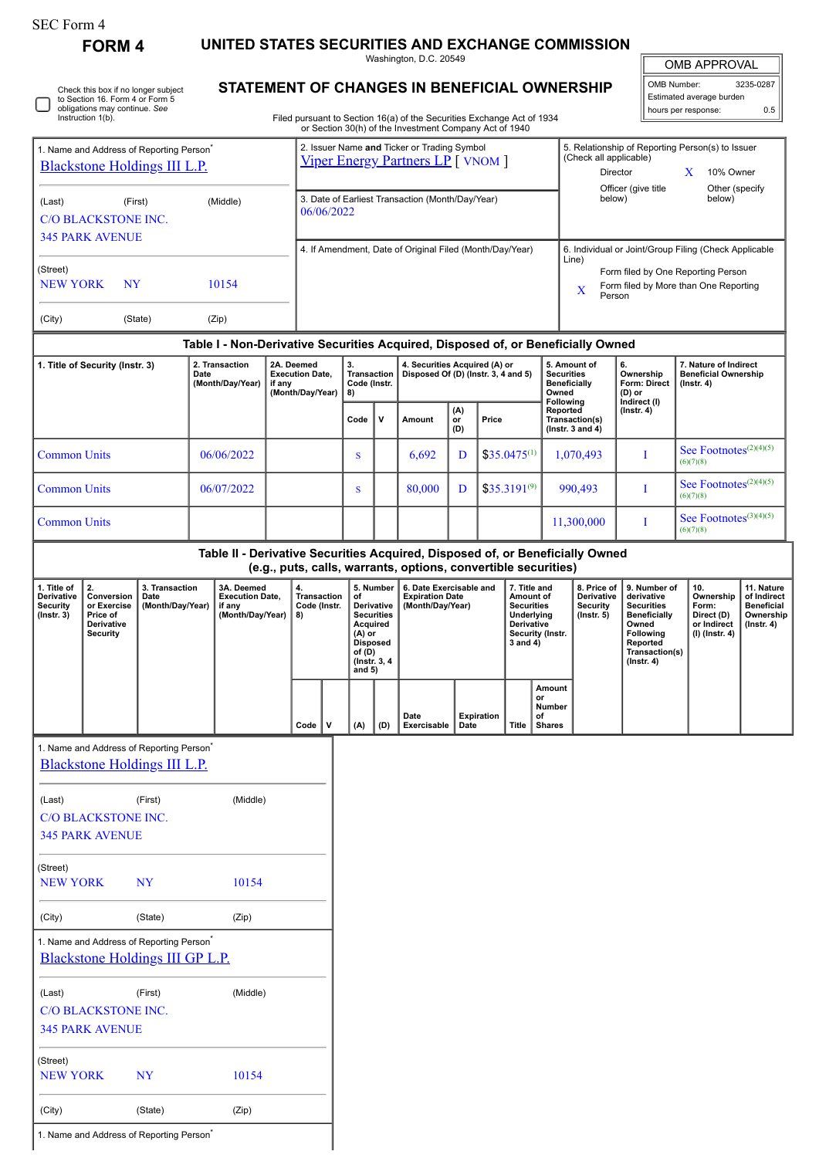| SEC Form 4 |  |
|------------|--|
|------------|--|

0

(City) (State) (Zip)

1. Name and Address of Reporting Person<sup>\*</sup>

**FORM 4 UNITED STATES SECURITIES AND EXCHANGE COMMISSION**

Washington, D.C. 20549

| <b>STATEMENT OF CHANGES IN BENEFICIAL OWNERSHIP</b> |
|-----------------------------------------------------|
|                                                     |

|--|

|                                                                    | 3235-0287 |
|--------------------------------------------------------------------|-----------|
|                                                                    |           |
| OMB Number: 32:<br>Estimated average burden<br>hours per response: | 0.5       |

|                                                                                                       | Check this box if no longer subject<br>to Section 16. Form 4 or Form 5<br>obligations may continue. See<br>Instruction 1(b). |                                            |            |                                                                                         |                                                                                       |                                          |                                                                |                                                                                                                         |                                                                                                                                                          | Filed pursuant to Section 16(a) of the Securities Exchange Act of 1934<br>or Section 30(h) of the Investment Company Act of 1940 |                           |                                                                                                          |                                                                                                                                                              |                                                           | STATEMENT OF CHANGES IN BENEFICIAL OWNERSHIP                                  |                                                                                                                                                |  | Estimated average burden<br>hours per response:                            | 0.5                                                                             |
|-------------------------------------------------------------------------------------------------------|------------------------------------------------------------------------------------------------------------------------------|--------------------------------------------|------------|-----------------------------------------------------------------------------------------|---------------------------------------------------------------------------------------|------------------------------------------|----------------------------------------------------------------|-------------------------------------------------------------------------------------------------------------------------|----------------------------------------------------------------------------------------------------------------------------------------------------------|----------------------------------------------------------------------------------------------------------------------------------|---------------------------|----------------------------------------------------------------------------------------------------------|--------------------------------------------------------------------------------------------------------------------------------------------------------------|-----------------------------------------------------------|-------------------------------------------------------------------------------|------------------------------------------------------------------------------------------------------------------------------------------------|--|----------------------------------------------------------------------------|---------------------------------------------------------------------------------|
| 1. Name and Address of Reporting Person <sup>*</sup><br><b>Blackstone Holdings III L.P.</b>           |                                                                                                                              |                                            |            | 2. Issuer Name and Ticker or Trading Symbol<br><b>Viper Energy Partners LP</b> [ VNOM ] |                                                                                       |                                          |                                                                |                                                                                                                         |                                                                                                                                                          |                                                                                                                                  |                           | 5. Relationship of Reporting Person(s) to Issuer<br>(Check all applicable)<br>Director<br>X<br>10% Owner |                                                                                                                                                              |                                                           |                                                                               |                                                                                                                                                |  |                                                                            |                                                                                 |
| (First)<br>(Middle)<br>(Last)<br><b>C/O BLACKSTONE INC.</b><br><b>345 PARK AVENUE</b>                 |                                                                                                                              |                                            |            |                                                                                         |                                                                                       |                                          | 3. Date of Earliest Transaction (Month/Day/Year)<br>06/06/2022 |                                                                                                                         |                                                                                                                                                          |                                                                                                                                  |                           |                                                                                                          |                                                                                                                                                              | Officer (give title<br>Other (specify<br>below)<br>below) |                                                                               |                                                                                                                                                |  |                                                                            |                                                                                 |
| (Street)<br>10154<br><b>NEW YORK</b><br><b>NY</b>                                                     |                                                                                                                              |                                            |            |                                                                                         | 4. If Amendment, Date of Original Filed (Month/Day/Year)                              |                                          |                                                                |                                                                                                                         |                                                                                                                                                          |                                                                                                                                  |                           |                                                                                                          | 6. Individual or Joint/Group Filing (Check Applicable<br>Line)<br>Form filed by One Reporting Person<br>Form filed by More than One Reporting<br>X<br>Person |                                                           |                                                                               |                                                                                                                                                |  |                                                                            |                                                                                 |
| (City)                                                                                                |                                                                                                                              | (State)                                    |            | (Zip)                                                                                   |                                                                                       |                                          |                                                                |                                                                                                                         |                                                                                                                                                          |                                                                                                                                  |                           |                                                                                                          |                                                                                                                                                              |                                                           |                                                                               |                                                                                                                                                |  |                                                                            |                                                                                 |
| 1. Title of Security (Instr. 3)<br>2. Transaction<br>2A. Deemed<br>Date<br>(Month/Day/Year)<br>if any |                                                                                                                              |                                            |            |                                                                                         | 3.<br><b>Execution Date,</b><br>Transaction<br>Code (Instr.<br>(Month/Day/Year)<br>8) |                                          |                                                                |                                                                                                                         | Table I - Non-Derivative Securities Acquired, Disposed of, or Beneficially Owned<br>4. Securities Acquired (A) or<br>Disposed Of (D) (Instr. 3, 4 and 5) |                                                                                                                                  |                           |                                                                                                          | 5. Amount of<br>6.<br><b>Securities</b><br>Ownership<br><b>Beneficially</b><br><b>Form: Direct</b><br>Owned<br>$(D)$ or<br>Following                         |                                                           |                                                                               | 7. Nature of Indirect<br><b>Beneficial Ownership</b><br>$($ lnstr. 4 $)$                                                                       |  |                                                                            |                                                                                 |
|                                                                                                       |                                                                                                                              |                                            |            |                                                                                         |                                                                                       |                                          |                                                                | Code                                                                                                                    | V                                                                                                                                                        | Amount                                                                                                                           | (A)<br>Price<br>or<br>(D) |                                                                                                          |                                                                                                                                                              | Reported<br>Transaction(s)<br>(Instr. $3$ and $4$ )       | Indirect (I)<br>$($ Instr. 4 $)$                                              |                                                                                                                                                |  |                                                                            |                                                                                 |
| <b>Common Units</b>                                                                                   |                                                                                                                              |                                            | 06/06/2022 |                                                                                         |                                                                                       |                                          |                                                                | S                                                                                                                       |                                                                                                                                                          | 6,692                                                                                                                            | D                         |                                                                                                          | $$35.0475^{(1)}$                                                                                                                                             |                                                           | 1,070,493                                                                     | I                                                                                                                                              |  | See Footnotes $(2)(4)(5)$<br>(6)(7)(8)                                     |                                                                                 |
| <b>Common Units</b>                                                                                   |                                                                                                                              |                                            |            | 06/07/2022                                                                              |                                                                                       |                                          |                                                                | S                                                                                                                       |                                                                                                                                                          | 80.000                                                                                                                           | D                         |                                                                                                          | $$35.3191^{(9)}$                                                                                                                                             |                                                           | 990,493                                                                       | I                                                                                                                                              |  | See Footnotes $(2)(4)(5)$<br>(6)(7)(8)                                     |                                                                                 |
| <b>Common Units</b>                                                                                   |                                                                                                                              |                                            |            |                                                                                         |                                                                                       |                                          |                                                                |                                                                                                                         |                                                                                                                                                          |                                                                                                                                  |                           |                                                                                                          |                                                                                                                                                              |                                                           | 11,300,000                                                                    | I                                                                                                                                              |  | See Footnotes $(3)(4)(5)$<br>(6)(7)(8)                                     |                                                                                 |
|                                                                                                       |                                                                                                                              |                                            |            |                                                                                         |                                                                                       |                                          |                                                                |                                                                                                                         |                                                                                                                                                          | (e.g., puts, calls, warrants, options, convertible securities)                                                                   |                           |                                                                                                          |                                                                                                                                                              |                                                           | Table II - Derivative Securities Acquired, Disposed of, or Beneficially Owned |                                                                                                                                                |  |                                                                            |                                                                                 |
| 1. Title of<br>Derivative<br><b>Security</b><br>(Instr. 3)                                            | 2.<br>Conversion<br>or Exercise<br>Price of<br>Derivative<br><b>Security</b>                                                 | 3. Transaction<br>Date<br>(Month/Day/Year) |            | 3A. Deemed<br><b>Execution Date,</b><br>if any<br>(Month/Day/Year)                      |                                                                                       | <b>Transaction</b><br>Code (Instr.<br>8) |                                                                | of<br>Derivative<br><b>Securities</b><br>Acquired<br>$(A)$ or<br><b>Disposed</b><br>of (D)<br>(Instr. 3, 4)<br>and $5)$ | 5. Number                                                                                                                                                | 6. Date Exercisable and<br><b>Expiration Date</b><br>(Month/Day/Year)                                                            |                           |                                                                                                          | 7. Title and<br>Amount of<br><b>Securities</b><br>Underlying<br>Derivative<br>$3$ and $4)$                                                                   | Security (Instr.                                          | 8. Price of<br>Derivative<br><b>Security</b><br>$($ Instr. 5 $)$              | 9. Number of<br>derivative<br><b>Securities</b><br><b>Beneficially</b><br>Owned<br>Following<br>Reported<br>Transaction(s)<br>$($ Instr. 4 $)$ |  | 10.<br>Ownership<br>Form:<br>Direct (D)<br>or Indirect<br>$(I)$ (Instr. 4) | 11. Nature<br>of Indirect<br><b>Beneficial</b><br>Ownership<br>$($ lnstr. 4 $)$ |
|                                                                                                       |                                                                                                                              |                                            |            |                                                                                         |                                                                                       | Code                                     | v                                                              | (A)                                                                                                                     | (D)                                                                                                                                                      | Date<br>Exercisable                                                                                                              | Date                      | <b>Expiration</b>                                                                                        | Title                                                                                                                                                        | Amount<br>or<br>Number<br>of<br><b>Shares</b>             |                                                                               |                                                                                                                                                |  |                                                                            |                                                                                 |
|                                                                                                       | 1. Name and Address of Reporting Person <sup>*</sup><br><b>Blackstone Holdings III L.P.</b>                                  |                                            |            |                                                                                         |                                                                                       |                                          |                                                                |                                                                                                                         |                                                                                                                                                          |                                                                                                                                  |                           |                                                                                                          |                                                                                                                                                              |                                                           |                                                                               |                                                                                                                                                |  |                                                                            |                                                                                 |
| (Last)                                                                                                | <b>C/O BLACKSTONE INC.</b><br><b>345 PARK AVENUE</b>                                                                         | (First)                                    |            | (Middle)                                                                                |                                                                                       |                                          |                                                                |                                                                                                                         |                                                                                                                                                          |                                                                                                                                  |                           |                                                                                                          |                                                                                                                                                              |                                                           |                                                                               |                                                                                                                                                |  |                                                                            |                                                                                 |
| (Street)<br><b>NEW YORK</b><br>10154<br>NY                                                            |                                                                                                                              |                                            |            |                                                                                         |                                                                                       |                                          |                                                                |                                                                                                                         |                                                                                                                                                          |                                                                                                                                  |                           |                                                                                                          |                                                                                                                                                              |                                                           |                                                                               |                                                                                                                                                |  |                                                                            |                                                                                 |
| (State)<br>(Zip)<br>(City)                                                                            |                                                                                                                              |                                            |            |                                                                                         |                                                                                       |                                          |                                                                |                                                                                                                         |                                                                                                                                                          |                                                                                                                                  |                           |                                                                                                          |                                                                                                                                                              |                                                           |                                                                               |                                                                                                                                                |  |                                                                            |                                                                                 |
|                                                                                                       | 1. Name and Address of Reporting Person <sup>*</sup><br>Blackstone Holdings III GP L.P.                                      |                                            |            |                                                                                         |                                                                                       |                                          |                                                                |                                                                                                                         |                                                                                                                                                          |                                                                                                                                  |                           |                                                                                                          |                                                                                                                                                              |                                                           |                                                                               |                                                                                                                                                |  |                                                                            |                                                                                 |
| (Last)                                                                                                | C/O BLACKSTONE INC.<br><b>345 PARK AVENUE</b>                                                                                | (First)                                    |            | (Middle)                                                                                |                                                                                       |                                          |                                                                |                                                                                                                         |                                                                                                                                                          |                                                                                                                                  |                           |                                                                                                          |                                                                                                                                                              |                                                           |                                                                               |                                                                                                                                                |  |                                                                            |                                                                                 |
| (Street)<br><b>NEW YORK</b>                                                                           |                                                                                                                              | <b>NY</b>                                  |            | 10154                                                                                   |                                                                                       |                                          |                                                                |                                                                                                                         |                                                                                                                                                          |                                                                                                                                  |                           |                                                                                                          |                                                                                                                                                              |                                                           |                                                                               |                                                                                                                                                |  |                                                                            |                                                                                 |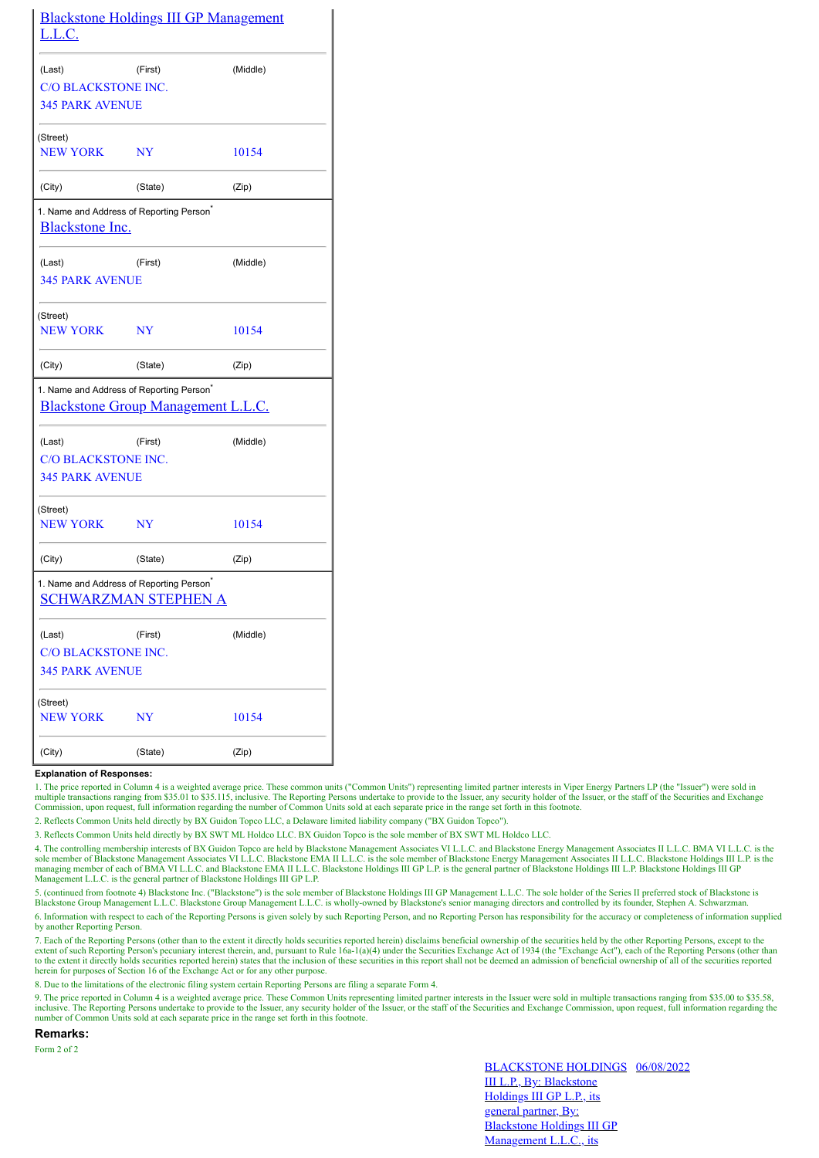| <u>L.L.C.</u>                                                                              |                | <b>Blackstone Holdings III GP Management</b> |
|--------------------------------------------------------------------------------------------|----------------|----------------------------------------------|
| (Last)                                                                                     | (First)        | (Middle)                                     |
| <b>C/O BLACKSTONE INC.</b>                                                                 |                |                                              |
| <b>345 PARK AVENUE</b>                                                                     |                |                                              |
| (Street)<br><b>NEW YORK</b>                                                                | NY             | 10154                                        |
| (City)                                                                                     | (State)        | (Zip)                                        |
| 1. Name and Address of Reporting Person <sup>*</sup><br><b>Blackstone Inc.</b>             |                |                                              |
| (Last)                                                                                     | (First)        | (Middle)                                     |
| <b>345 PARK AVENUE</b>                                                                     |                |                                              |
| (Street)                                                                                   |                |                                              |
| <b>NEW YORK</b>                                                                            | N <sub>Y</sub> | 10154                                        |
| (City)                                                                                     | (State)        | (Zip)                                        |
| 1. Name and Address of Reporting Person <sup>*</sup><br>Blackstone Group Management L.L.C. |                |                                              |
| (Last)                                                                                     | (First)        | (Middle)                                     |
| <b>C/O BLACKSTONE INC.</b>                                                                 |                |                                              |
| <b>345 PARK AVENUE</b>                                                                     |                |                                              |
| (Street)<br><b>NEW YORK</b>                                                                | NY             | 10154                                        |
| (City)                                                                                     | (State)        | (Zip)                                        |
| 1. Name and Address of Reporting Person <sup>*</sup><br>SCHWARZMAN STEPHEN A               |                |                                              |
| (Last)                                                                                     | (First)        | (Middle)                                     |
| <b>C/O BLACKSTONE INC.</b>                                                                 |                |                                              |
| <b>345 PARK AVENUE</b>                                                                     |                |                                              |
| (Street)<br><b>NEW YORK</b>                                                                | NY             | 10154                                        |
| (City)                                                                                     | (State)        | (Zip)                                        |

## **Explanation of Responses:**

1. The price reported in Column 4 is a weighted average price. These common units ("Common Units") representing limited partner interests in Viper Energy Partners LP (the "Issuer") were sold in multiple transactions ranging from \$35.01 to \$35.115, inclusive. The Reporting Persons undertake to provide to the Issuer, any security holder of the Issuer, or the staff of the Securities and Exchange Commission, upon req

2. Reflects Common Units held directly by BX Guidon Topco LLC, a Delaware limited liability company ("BX Guidon Topco").

3. Reflects Common Units held directly by BX SWT ML Holdco LLC. BX Guidon Topco is the sole member of BX SWT ML Holdco LLC.

4. The controlling membership interests of BX Guidon Topco are held by Blackstone Management Associates VI L.L.C. and Blackstone Energy Management Associates II L.L.C. BMA VI L.L.C. is the sole member of Blackstone Management Associates VI L.L.C. Blackstone EMA II L.L.C. is the sole member of Blackstone Energy Management Associates II L.L.C. Blackstone Holdings III L.P. is the managing member of each of BMA Management L.L.C. is the general partner of Blackstone Holdings III GP L.P.

5. (continued from footnote 4) Blackstone Inc. ("Blackstone") is the sole member of Blackstone Holdings III GP Management L.L.C. The sole holder of the Series II preferred stock of Blackstone is<br>Blackstone Group Management

6. Information with respect to each of the Reporting Persons is given solely by such Reporting Person, and no Reporting Person has responsibility for the accuracy or completeness of information supplied by another Reporting Person.

7. Each of the Reporting Persons (other than to the extent it directly holds securities reported herein) disclaims beneficial ownership of the securities held by the other Reporting Persons, except to the extent of such Reporting Person's pecuniary interest therein, and, pursuant to Rule 16a-1(a)(4) under the Securities Exchange Act of 1934 (the "Exchange Act"), each of the Reporting Persons (other than<br>to the extent it dir herein for purposes of Section 16 of the Exchange Act or for any other purpose.

8. Due to the limitations of the electronic filing system certain Reporting Persons are filing a separate Form 4.

9. The price reported in Column 4 is a weighted average price. These Common Units representing limited partner interests in the Issuer were sold in multiple transactions ranging from \$35.00 to \$35.58, inclusive. The Reporting Persons undertake to provide to the Issuer, any security holder of the Issuer, or the staff of the Securities and Exchange Commission, upon request, full information regarding the number of Common Units sold at each separate price in the range set forth in this footnote.

**Remarks:**

Form 2 of 2

BLACKSTONE HOLDINGS 06/08/2022III L.P., By: Blackstone Holdings III GP L.P., its general partner, By: Blackstone Holdings III GP Management L.L.C., its